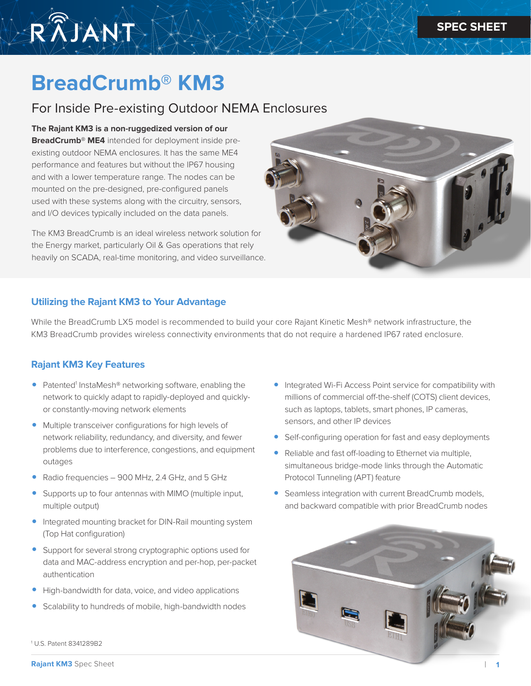

# **BreadCrumb® KM3**

# For Inside Pre-existing Outdoor NEMA Enclosures

#### **The Rajant KM3 is a non-ruggedized version of our**

**BreadCrumb® ME4** intended for deployment inside preexisting outdoor NEMA enclosures. It has the same ME4 performance and features but without the IP67 housing and with a lower temperature range. The nodes can be mounted on the pre-designed, pre-configured panels used with these systems along with the circuitry, sensors, and I/O devices typically included on the data panels.

The KM3 BreadCrumb is an ideal wireless network solution for the Energy market, particularly Oil & Gas operations that rely heavily on SCADA, real-time monitoring, and video surveillance.



### **Utilizing the Rajant KM3 to Your Advantage**

While the BreadCrumb LX5 model is recommended to build your core Rajant Kinetic Mesh® network infrastructure, the KM3 BreadCrumb provides wireless connectivity environments that do not require a hardened IP67 rated enclosure.

## **Rajant KM3 Key Features**

- Patented<sup>1</sup> InstaMesh® networking software, enabling the network to quickly adapt to rapidly-deployed and quicklyor constantly-moving network elements
- Multiple transceiver configurations for high levels of network reliability, redundancy, and diversity, and fewer problems due to interference, congestions, and equipment outages
- Radio frequencies 900 MHz, 2.4 GHz, and 5 GHz
- Supports up to four antennas with MIMO (multiple input, multiple output)
- Integrated mounting bracket for DIN-Rail mounting system (Top Hat configuration)
- Support for several strong cryptographic options used for data and MAC-address encryption and per-hop, per-packet authentication
- High-bandwidth for data, voice, and video applications
- Scalability to hundreds of mobile, high-bandwidth nodes
- Integrated Wi-Fi Access Point service for compatibility with millions of commercial off-the-shelf (COTS) client devices, such as laptops, tablets, smart phones, IP cameras, sensors, and other IP devices
- Self-configuring operation for fast and easy deployments
- Reliable and fast off-loading to Ethernet via multiple, simultaneous bridge-mode links through the Automatic Protocol Tunneling (APT) feature
- Seamless integration with current BreadCrumb models, and backward compatible with prior BreadCrumb nodes



1 U.S. Patent 8341289B2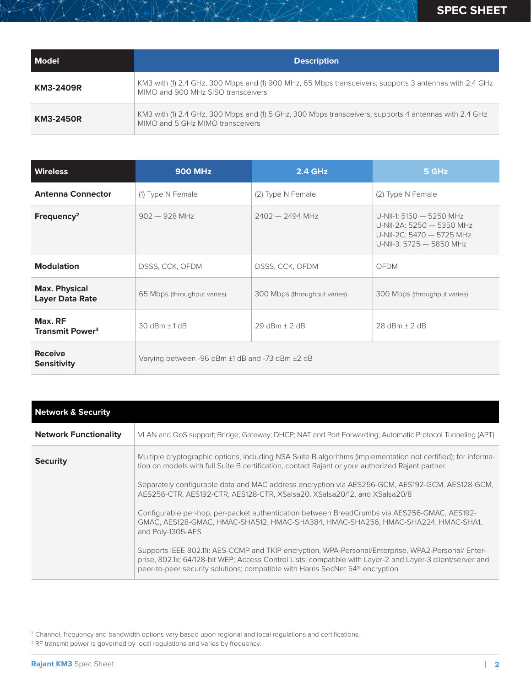| <b>Model</b>     | <b>Description</b>                                                                                                                           |
|------------------|----------------------------------------------------------------------------------------------------------------------------------------------|
| KM3-2409R        | KM3 with (1) 2.4 GHz, 300 Mbps and (1) 900 MHz, 65 Mbps transceivers; supports 3 antennas with 2.4 GHz<br>MIMO and 900 MHz SISO transceivers |
| <b>KM3-2450R</b> | KM3 with (1) 2.4 GHz, 300 Mbps and (1) 5 GHz, 300 Mbps transceivers; supports 4 antennas with 2.4 GHz<br>MIMO and 5 GHz MIMO transceivers    |

| <b>Wireless</b>                                | <b>900 MHz</b>                                  | <b>2.4 GHz</b>               | 5 GHz                                                                                                          |
|------------------------------------------------|-------------------------------------------------|------------------------------|----------------------------------------------------------------------------------------------------------------|
| <b>Antenna Connector</b>                       | (1) Type N Female                               | (2) Type N Female            | (2) Type N Female                                                                                              |
| Frequency <sup>2</sup>                         | $902 - 928$ MHz                                 | $2402 - 2494$ MHz            | U-NII-1: 5150 - 5250 MHz<br>U-NII-2A: 5250 - 5350 MHz<br>U-NII-2C: 5470 - 5725 MHz<br>U-NII-3: 5725 - 5850 MHz |
| <b>Modulation</b>                              | DSSS, CCK, OFDM                                 | DSSS, CCK, OFDM              | <b>OFDM</b>                                                                                                    |
| <b>Max. Physical</b><br><b>Layer Data Rate</b> | 65 Mbps (throughput varies)                     | 300 Mbps (throughput varies) | 300 Mbps (throughput varies)                                                                                   |
| Max. RF<br><b>Transmit Power<sup>3</sup></b>   | $30$ dBm $\pm$ 1 dB                             | $29$ dBm $\pm$ 2 dB          | $28$ dBm + $2$ dB                                                                                              |
| <b>Receive</b><br><b>Sensitivity</b>           | Varying between -96 dBm ±1 dB and -73 dBm ±2 dB |                              |                                                                                                                |

| <b>Network &amp; Security</b> |                                                                                                                                                                                                                                                                                                               |
|-------------------------------|---------------------------------------------------------------------------------------------------------------------------------------------------------------------------------------------------------------------------------------------------------------------------------------------------------------|
| <b>Network Functionality</b>  | VLAN and QoS support; Bridge; Gateway; DHCP; NAT and Port Forwarding; Automatic Protocol Tunneling (APT)                                                                                                                                                                                                      |
| <b>Security</b>               | Multiple cryptographic options, including NSA Suite B algorithms (implementation not certified); for informa-<br>tion on models with full Suite B certification, contact Rajant or your authorized Rajant partner.                                                                                            |
|                               | Separately configurable data and MAC address encryption via AES256-GCM, AES192-GCM, AES128-GCM,<br>AES256-CTR, AES192-CTR, AES128-CTR, XSalsa20, XSalsa20/12, and XSalsa20/8                                                                                                                                  |
|                               | Configurable per-hop, per-packet authentication between BreadCrumbs via AES256-GMAC, AES192-<br>GMAC, AES128-GMAC, HMAC-SHA512, HMAC-SHA384, HMAC-SHA256, HMAC-SHA224, HMAC-SHA1,<br>and Poly-1305-AES                                                                                                        |
|                               | Supports IEEE 802.11i: AES-CCMP and TKIP encryption, WPA-Personal/Enterprise, WPA2-Personal/Enter-<br>prise, 802.1x; 64/128-bit WEP; Access Control Lists; compatible with Layer-2 and Layer-3 client/server and<br>peer-to-peer security solutions; compatible with Harris SecNet 54 <sup>®</sup> encryption |

<sup>2</sup> Channel, frequency and bandwidth options vary based upon regional and local regulations and certifications.

<sup>3</sup> RF transmit power is governed by local regulations and varies by frequency.